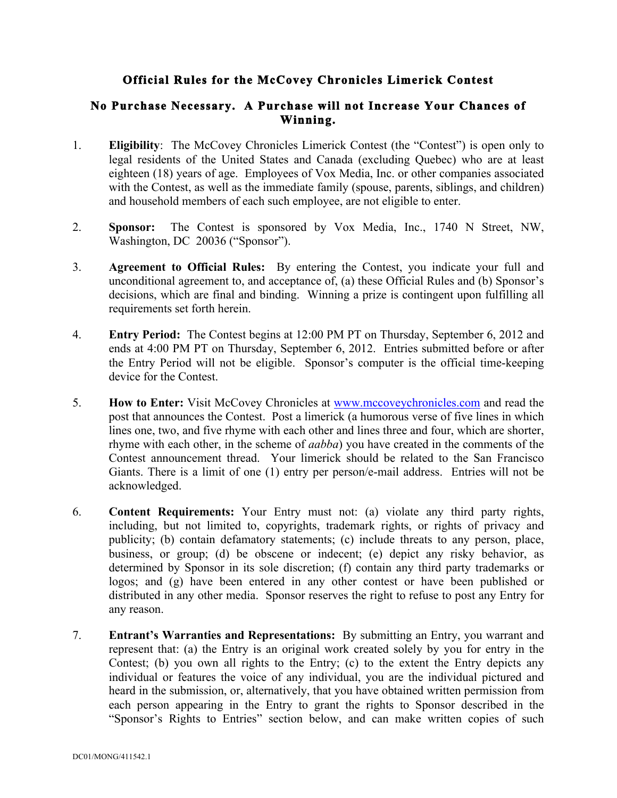## **Official Rules for the McCovey Chronicles Limerick Contest**

## **No Purchase Necessary. A Purchase will not Increase Your Chances of Winning.**

- 1. **Eligibility**: The McCovey Chronicles Limerick Contest (the "Contest") is open only to legal residents of the United States and Canada (excluding Quebec) who are at least eighteen (18) years of age. Employees of Vox Media, Inc. or other companies associated with the Contest, as well as the immediate family (spouse, parents, siblings, and children) and household members of each such employee, are not eligible to enter.
- 2. **Sponsor:** The Contest is sponsored by Vox Media, Inc., 1740 N Street, NW, Washington, DC 20036 ("Sponsor").
- 3. **Agreement to Official Rules:** By entering the Contest, you indicate your full and unconditional agreement to, and acceptance of, (a) these Official Rules and (b) Sponsor's decisions, which are final and binding. Winning a prize is contingent upon fulfilling all requirements set forth herein.
- 4. **Entry Period:** The Contest begins at 12:00 PM PT on Thursday, September 6, 2012 and ends at 4:00 PM PT on Thursday, September 6, 2012. Entries submitted before or after the Entry Period will not be eligible. Sponsor's computer is the official time-keeping device for the Contest.
- 5. **How to Enter:** Visit McCovey Chronicles at www.mccoveychronicles.com and read the post that announces the Contest. Post a limerick (a humorous verse of five lines in which lines one, two, and five rhyme with each other and lines three and four, which are shorter, rhyme with each other, in the scheme of *aabba*) you have created in the comments of the Contest announcement thread. Your limerick should be related to the San Francisco Giants. There is a limit of one (1) entry per person/e-mail address. Entries will not be acknowledged.
- 6. **Content Requirements:** Your Entry must not: (a) violate any third party rights, including, but not limited to, copyrights, trademark rights, or rights of privacy and publicity; (b) contain defamatory statements; (c) include threats to any person, place, business, or group; (d) be obscene or indecent; (e) depict any risky behavior, as determined by Sponsor in its sole discretion; (f) contain any third party trademarks or logos; and (g) have been entered in any other contest or have been published or distributed in any other media. Sponsor reserves the right to refuse to post any Entry for any reason.
- 7. **Entrant's Warranties and Representations:** By submitting an Entry, you warrant and represent that: (a) the Entry is an original work created solely by you for entry in the Contest; (b) you own all rights to the Entry; (c) to the extent the Entry depicts any individual or features the voice of any individual, you are the individual pictured and heard in the submission, or, alternatively, that you have obtained written permission from each person appearing in the Entry to grant the rights to Sponsor described in the "Sponsor's Rights to Entries" section below, and can make written copies of such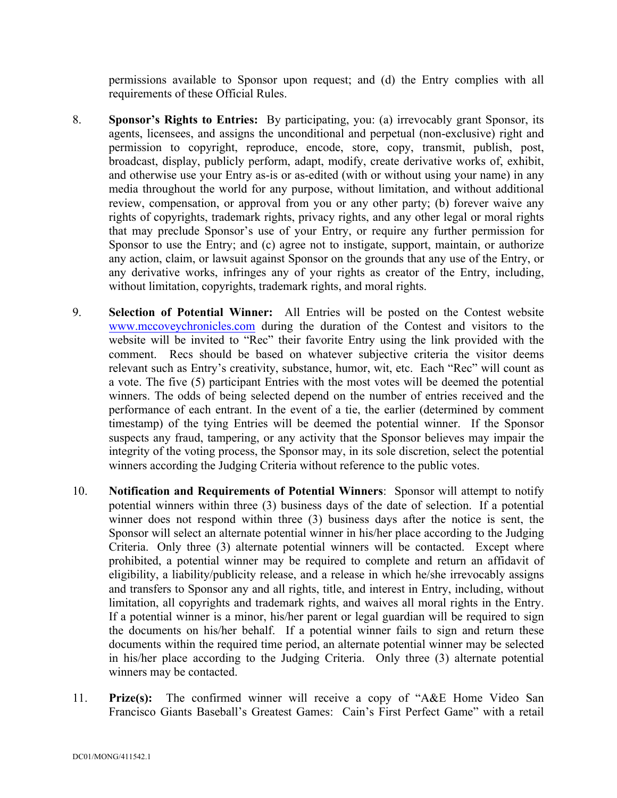permissions available to Sponsor upon request; and (d) the Entry complies with all requirements of these Official Rules.

- 8. **Sponsor's Rights to Entries:** By participating, you: (a) irrevocably grant Sponsor, its agents, licensees, and assigns the unconditional and perpetual (non-exclusive) right and permission to copyright, reproduce, encode, store, copy, transmit, publish, post, broadcast, display, publicly perform, adapt, modify, create derivative works of, exhibit, and otherwise use your Entry as-is or as-edited (with or without using your name) in any media throughout the world for any purpose, without limitation, and without additional review, compensation, or approval from you or any other party; (b) forever waive any rights of copyrights, trademark rights, privacy rights, and any other legal or moral rights that may preclude Sponsor's use of your Entry, or require any further permission for Sponsor to use the Entry; and (c) agree not to instigate, support, maintain, or authorize any action, claim, or lawsuit against Sponsor on the grounds that any use of the Entry, or any derivative works, infringes any of your rights as creator of the Entry, including, without limitation, copyrights, trademark rights, and moral rights.
- 9. **Selection of Potential Winner:** All Entries will be posted on the Contest website www.mccoveychronicles.com during the duration of the Contest and visitors to the website will be invited to "Rec" their favorite Entry using the link provided with the comment. Recs should be based on whatever subjective criteria the visitor deems relevant such as Entry's creativity, substance, humor, wit, etc. Each "Rec" will count as a vote. The five (5) participant Entries with the most votes will be deemed the potential winners. The odds of being selected depend on the number of entries received and the performance of each entrant. In the event of a tie, the earlier (determined by comment timestamp) of the tying Entries will be deemed the potential winner. If the Sponsor suspects any fraud, tampering, or any activity that the Sponsor believes may impair the integrity of the voting process, the Sponsor may, in its sole discretion, select the potential winners according the Judging Criteria without reference to the public votes.
- 10. **Notification and Requirements of Potential Winners**: Sponsor will attempt to notify potential winners within three (3) business days of the date of selection. If a potential winner does not respond within three (3) business days after the notice is sent, the Sponsor will select an alternate potential winner in his/her place according to the Judging Criteria. Only three (3) alternate potential winners will be contacted. Except where prohibited, a potential winner may be required to complete and return an affidavit of eligibility, a liability/publicity release, and a release in which he/she irrevocably assigns and transfers to Sponsor any and all rights, title, and interest in Entry, including, without limitation, all copyrights and trademark rights, and waives all moral rights in the Entry. If a potential winner is a minor, his/her parent or legal guardian will be required to sign the documents on his/her behalf. If a potential winner fails to sign and return these documents within the required time period, an alternate potential winner may be selected in his/her place according to the Judging Criteria. Only three (3) alternate potential winners may be contacted.
- 11. **Prize(s):** The confirmed winner will receive a copy of "A&E Home Video San Francisco Giants Baseball's Greatest Games: Cain's First Perfect Game" with a retail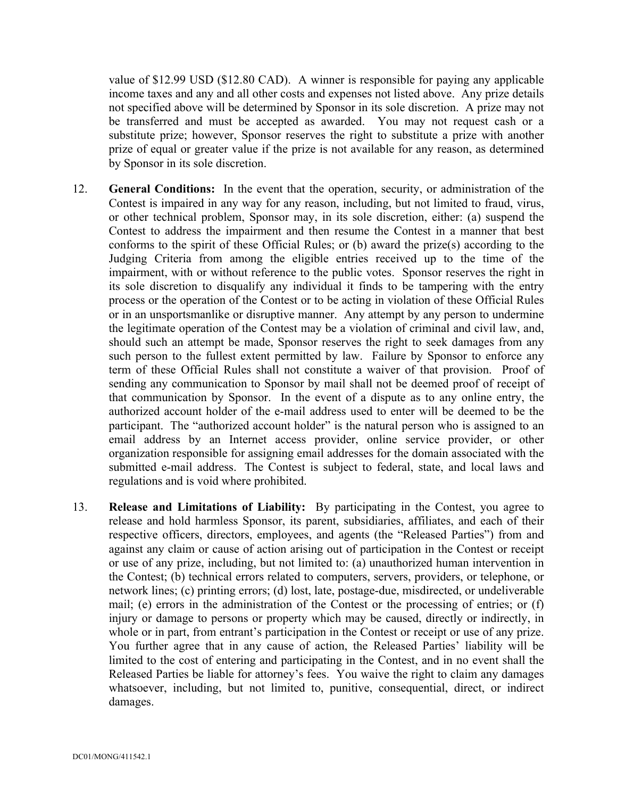value of \$12.99 USD (\$12.80 CAD). A winner is responsible for paying any applicable income taxes and any and all other costs and expenses not listed above. Any prize details not specified above will be determined by Sponsor in its sole discretion. A prize may not be transferred and must be accepted as awarded. You may not request cash or a substitute prize; however, Sponsor reserves the right to substitute a prize with another prize of equal or greater value if the prize is not available for any reason, as determined by Sponsor in its sole discretion.

- 12. **General Conditions:** In the event that the operation, security, or administration of the Contest is impaired in any way for any reason, including, but not limited to fraud, virus, or other technical problem, Sponsor may, in its sole discretion, either: (a) suspend the Contest to address the impairment and then resume the Contest in a manner that best conforms to the spirit of these Official Rules; or (b) award the prize(s) according to the Judging Criteria from among the eligible entries received up to the time of the impairment, with or without reference to the public votes. Sponsor reserves the right in its sole discretion to disqualify any individual it finds to be tampering with the entry process or the operation of the Contest or to be acting in violation of these Official Rules or in an unsportsmanlike or disruptive manner. Any attempt by any person to undermine the legitimate operation of the Contest may be a violation of criminal and civil law, and, should such an attempt be made, Sponsor reserves the right to seek damages from any such person to the fullest extent permitted by law. Failure by Sponsor to enforce any term of these Official Rules shall not constitute a waiver of that provision. Proof of sending any communication to Sponsor by mail shall not be deemed proof of receipt of that communication by Sponsor. In the event of a dispute as to any online entry, the authorized account holder of the e-mail address used to enter will be deemed to be the participant. The "authorized account holder" is the natural person who is assigned to an email address by an Internet access provider, online service provider, or other organization responsible for assigning email addresses for the domain associated with the submitted e-mail address. The Contest is subject to federal, state, and local laws and regulations and is void where prohibited.
- 13. **Release and Limitations of Liability:** By participating in the Contest, you agree to release and hold harmless Sponsor, its parent, subsidiaries, affiliates, and each of their respective officers, directors, employees, and agents (the "Released Parties") from and against any claim or cause of action arising out of participation in the Contest or receipt or use of any prize, including, but not limited to: (a) unauthorized human intervention in the Contest; (b) technical errors related to computers, servers, providers, or telephone, or network lines; (c) printing errors; (d) lost, late, postage-due, misdirected, or undeliverable mail; (e) errors in the administration of the Contest or the processing of entries; or (f) injury or damage to persons or property which may be caused, directly or indirectly, in whole or in part, from entrant's participation in the Contest or receipt or use of any prize. You further agree that in any cause of action, the Released Parties' liability will be limited to the cost of entering and participating in the Contest, and in no event shall the Released Parties be liable for attorney's fees. You waive the right to claim any damages whatsoever, including, but not limited to, punitive, consequential, direct, or indirect damages.